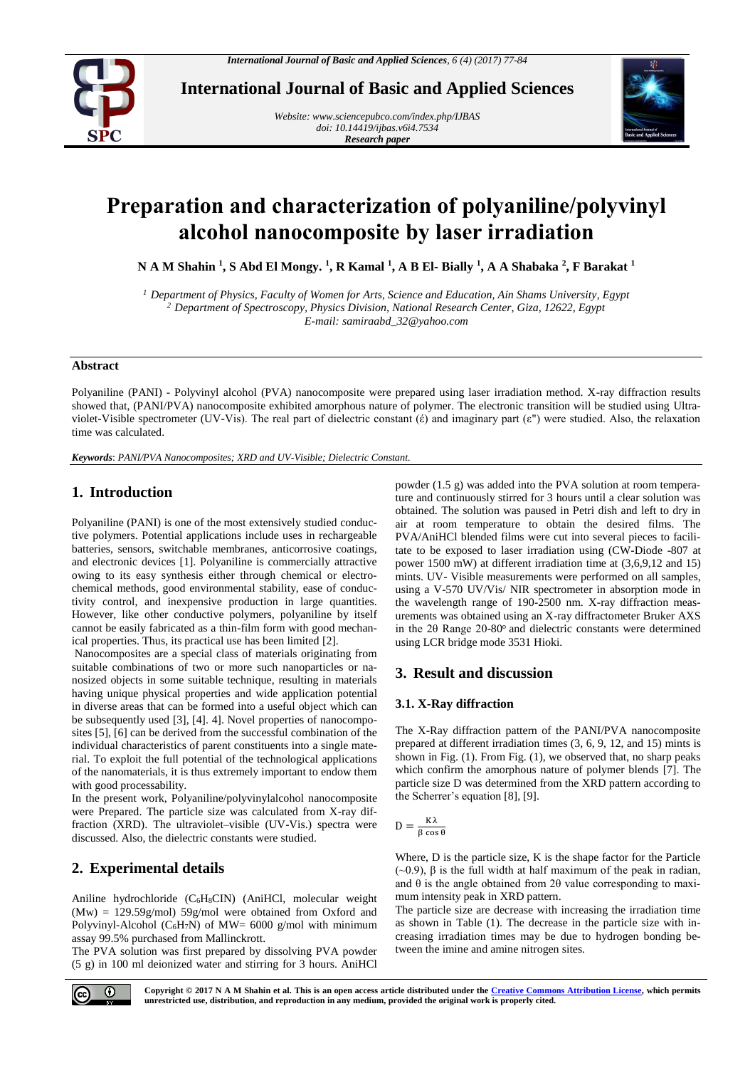

**International Journal of Basic and Applied Sciences**

*Website[: www.sciencepubco.com/index.php/IJBAS](http://www.sciencepubco.com/index.php/IJBAS) doi: 10.14419/ijbas.v6i4.7534 Research paper*



# **Preparation and characterization of polyaniline/polyvinyl alcohol nanocomposite by laser irradiation**

**N A M Shahin <sup>1</sup> , S Abd El Mongy. <sup>1</sup> , R Kamal <sup>1</sup> , A B El- Bially <sup>1</sup> , A A Shabaka <sup>2</sup> , F Barakat <sup>1</sup>**

*<sup>1</sup> Department of Physics, Faculty of Women for Arts, Science and Education, Ain Shams University, Egypt <sup>2</sup> Department of Spectroscopy, Physics Division, National Research Center, Giza, 12622, Egypt E-mail: samiraabd\_32@yahoo.com*

#### **Abstract**

Polyaniline (PANI) - Polyvinyl alcohol (PVA) nanocomposite were prepared using laser irradiation method. X-ray diffraction results showed that, (PANI/PVA) nanocomposite exhibited amorphous nature of polymer. The electronic transition will be studied using Ultraviolet-Visible spectrometer (UV-Vis). The real part of dielectric constant ( $\acute{\epsilon}$ ) and imaginary part ( $\epsilon$ ") were studied. Also, the relaxation time was calculated.

*Keywords*: *PANI/PVA Nanocomposites; XRD and UV-Visible; Dielectric Constant.*

# **1. Introduction**

Polyaniline (PANI) is one of the most extensively studied conductive polymers. Potential applications include uses in rechargeable batteries, sensors, switchable membranes, anticorrosive coatings, and electronic devices [1]. Polyaniline is commercially attractive owing to its easy synthesis either through chemical or electrochemical methods, good environmental stability, ease of conductivity control, and inexpensive production in large quantities. However, like other conductive polymers, polyaniline by itself cannot be easily fabricated as a thin-film form with good mechanical properties. Thus, its practical use has been limited [2].

Nanocomposites are a special class of materials originating from suitable combinations of two or more such nanoparticles or nanosized objects in some suitable technique, resulting in materials having unique physical properties and wide application potential in diverse areas that can be formed into a useful object which can be subsequently used [3], [4]. 4]. Novel properties of nanocomposites [5], [6] can be derived from the successful combination of the individual characteristics of parent constituents into a single material. To exploit the full potential of the technological applications of the nanomaterials, it is thus extremely important to endow them with good processability.

In the present work, Polyaniline/polyvinylalcohol nanocomposite were Prepared. The particle size was calculated from X-ray diffraction (XRD). The ultraviolet–visible (UV-Vis.) spectra were discussed. Also, the dielectric constants were studied.

# **2. Experimental details**

Aniline hydrochloride (C6H8CIN) (AniHCl, molecular weight (Mw) = 129.59g/mol) 59g/mol were obtained from Oxford and Polyvinyl-Alcohol ( $C_6H_7N$ ) of MW= 6000 g/mol with minimum assay 99.5% purchased from Mallinckrott.

The PVA solution was first prepared by dissolving PVA powder (5 g) in 100 ml deionized water and stirring for 3 hours. AniHCl powder (1.5 g) was added into the PVA solution at room temperature and continuously stirred for 3 hours until a clear solution was obtained. The solution was paused in Petri dish and left to dry in air at room temperature to obtain the desired films. The PVA/AniHCl blended films were cut into several pieces to facilitate to be exposed to laser irradiation using (CW-Diode -807 at power 1500 mW) at different irradiation time at (3,6,9,12 and 15) mints. UV- Visible measurements were performed on all samples, using a V-570 UV/Vis/ NIR spectrometer in absorption mode in the wavelength range of 190-2500 nm. X-ray diffraction measurements was obtained using an X-ray diffractometer Bruker AXS in the 20 Range  $20-80^\circ$  and dielectric constants were determined using LCR bridge mode 3531 Hioki.

## **3. Result and discussion**

### **3.1. X-Ray diffraction**

The X-Ray diffraction pattern of the PANI/PVA nanocomposite prepared at different irradiation times (3, 6, 9, 12, and 15) mints is shown in Fig. (1). From Fig. (1), we observed that, no sharp peaks which confirm the amorphous nature of polymer blends [7]. The particle size D was determined from the XRD pattern according to the Scherrer's equation [8], [9].

$$
D = \frac{K\lambda}{\beta \cos \theta}
$$

Where, D is the particle size, K is the shape factor for the Particle (~0.9), β is the full width at half maximum of the peak in radian, and  $\theta$  is the angle obtained from 2 $\theta$  value corresponding to maximum intensity peak in XRD pattern.

The particle size are decrease with increasing the irradiation time as shown in Table (1). The decrease in the particle size with increasing irradiation times may be due to hydrogen bonding between the imine and amine nitrogen sites.

**Copyright © 2017 N A M Shahin et al. This is an open access article distributed under th[e Creative Commons Attribution License,](http://creativecommons.org/licenses/by/3.0/) which permits unrestricted use, distribution, and reproduction in any medium, provided the original work is properly cited.**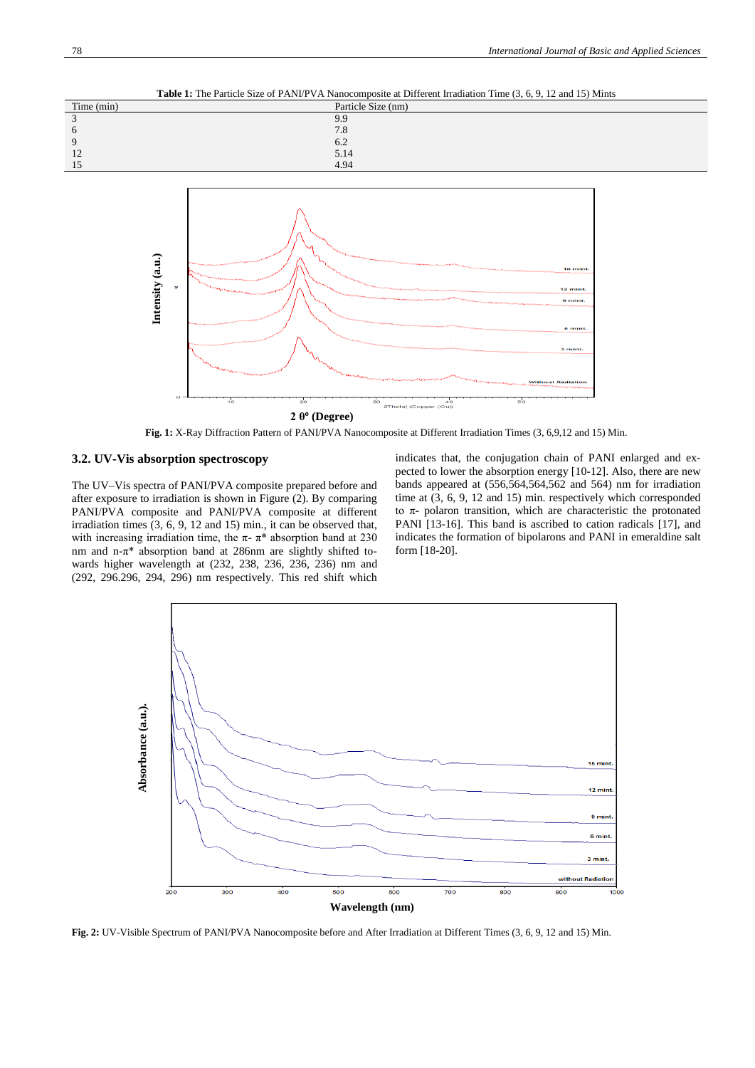**Table 1:** The Particle Size of PANI/PVA Nanocomposite at Different Irradiation Time (3, 6, 9, 12 and 15) Mints





**Fig. 1:** X-Ray Diffraction Pattern of PANI/PVA Nanocomposite at Different Irradiation Times (3, 6,9,12 and 15) Min.

#### **3.2. UV-Vis absorption spectroscopy**

The UV–Vis spectra of PANI/PVA composite prepared before and after exposure to irradiation is shown in Figure (2). By comparing PANI/PVA composite and PANI/PVA composite at different irradiation times (3, 6, 9, 12 and 15) min., it can be observed that, with increasing irradiation time, the  $\pi$ -  $\pi$ <sup>\*</sup> absorption band at 230 nm and n-π\* absorption band at 286nm are slightly shifted towards higher wavelength at (232, 238, 236, 236, 236) nm and (292, 296.296, 294, 296) nm respectively. This red shift which

indicates that, the conjugation chain of PANI enlarged and expected to lower the absorption energy [10-12]. Also, there are new bands appeared at (556,564,564,562 and 564) nm for irradiation time at (3, 6, 9, 12 and 15) min. respectively which corresponded to π- polaron transition, which are characteristic the protonated PANI [13-16]. This band is ascribed to cation radicals [17], and indicates the formation of bipolarons and PANI in emeraldine salt form [18-20].



Fig. 2: UV-Visible Spectrum of PANI/PVA Nanocomposite before and After Irradiation at Different Times (3, 6, 9, 12 and 15) Min.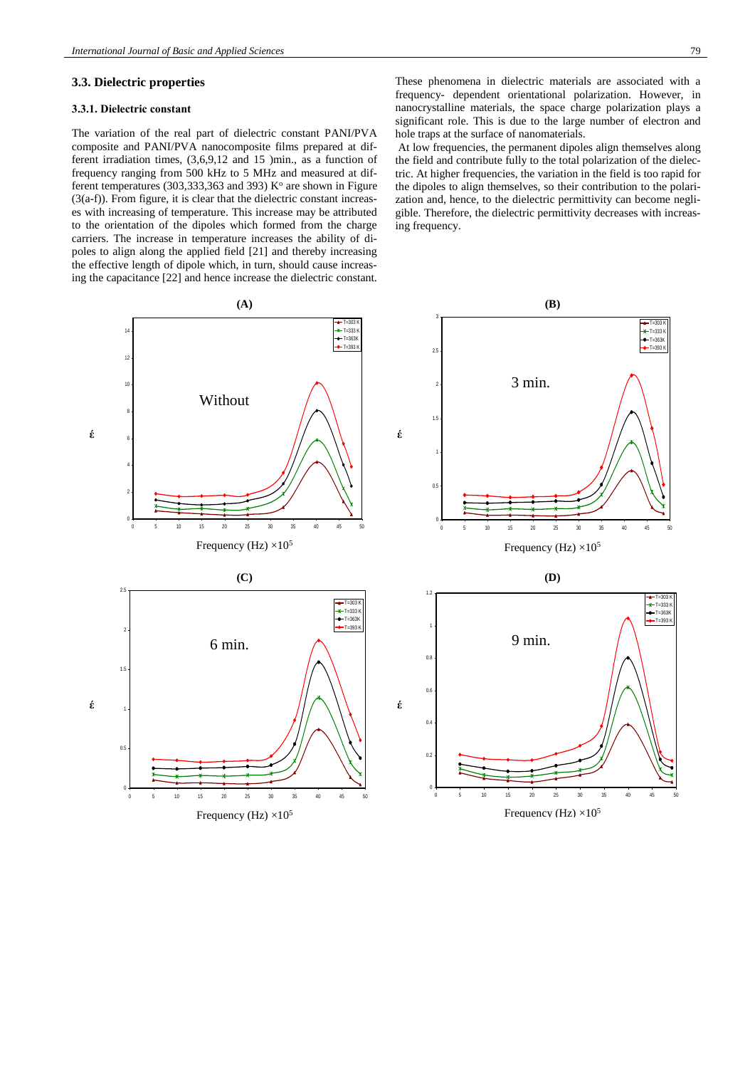### **3.3. Dielectric properties**

#### **3.3.1. Dielectric constant**

The variation of the real part of dielectric constant PANI/PVA composite and PANI/PVA nanocomposite films prepared at different irradiation times, (3,6,9,12 and 15 )min., as a function of frequency ranging from 500 kHz to 5 MHz and measured at different temperatures (303,333,363 and 393)  $K^{\circ}$  are shown in Figure (3(a-f)). From figure, it is clear that the dielectric constant increases with increasing of temperature. This increase may be attributed to the orientation of the dipoles which formed from the charge carriers. The increase in temperature increases the ability of dipoles to align along the applied field [21] and thereby increasing the effective length of dipole which, in turn, should cause increasing the capacitance [22] and hence increase the dielectric constant.

These phenomena in dielectric materials are associated with a frequency- dependent orientational polarization. However, in nanocrystalline materials, the space charge polarization plays a significant role. This is due to the large number of electron and hole traps at the surface of nanomaterials.

At low frequencies, the permanent dipoles align themselves along the field and contribute fully to the total polarization of the dielectric. At higher frequencies, the variation in the field is too rapid for the dipoles to align themselves, so their contribution to the polarization and, hence, to the dielectric permittivity can become negligible. Therefore, the dielectric permittivity decreases with increasing frequency.



Frequency (Hz)  $\times 10^5$  Frequency (Hz)  $\times 10^5$ 

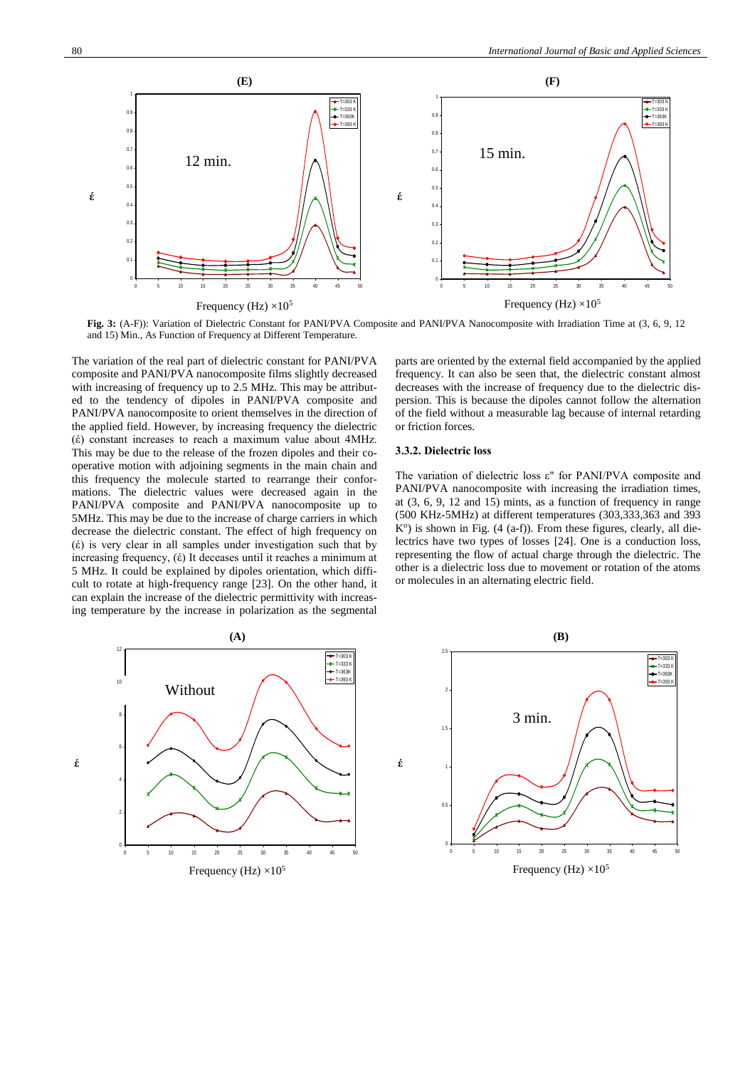

**Fig. 3:** (A-F)): Variation of Dielectric Constant for PANI/PVA Composite and PANI/PVA Nanocomposite with Irradiation Time at (3, 6, 9, 12 and 15) Min., As Function of Frequency at Different Temperature.

The variation of the real part of dielectric constant for PANI/PVA composite and PANI/PVA nanocomposite films slightly decreased with increasing of frequency up to 2.5 MHz. This may be attributed to the tendency of dipoles in PANI/PVA composite and PANI/PVA nanocomposite to orient themselves in the direction of the applied field. However, by increasing frequency the dielectric (έ) constant increases to reach a maximum value about 4MHz. This may be due to the release of the frozen dipoles and their cooperative motion with adjoining segments in the main chain and this frequency the molecule started to rearrange their conformations. The dielectric values were decreased again in the PANI/PVA composite and PANI/PVA nanocomposite up to 5MHz. This may be due to the increase of charge carriers in which decrease the dielectric constant. The effect of high frequency on (έ) is very clear in all samples under investigation such that by increasing frequency, (έ) It deceases until it reaches a minimum at 5 MHz. It could be explained by dipoles orientation, which difficult to rotate at high-frequency range [23]. On the other hand, it can explain the increase of the dielectric permittivity with increasing temperature by the increase in polarization as the segmental

parts are oriented by the external field accompanied by the applied frequency. It can also be seen that, the dielectric constant almost decreases with the increase of frequency due to the dielectric dispersion. This is because the dipoles cannot follow the alternation of the field without a measurable lag because of internal retarding or friction forces.

#### **3.3.2. Dielectric loss**

The variation of dielectric loss ε" for PANI/PVA composite and PANI/PVA nanocomposite with increasing the irradiation times, at (3, 6, 9, 12 and 15) mints, as a function of frequency in range (500 KHz-5MHz) at different temperatures (303,333,363 and 393 K<sup>o</sup>) is shown in Fig. (4 (a-f)). From these figures, clearly, all dielectrics have two types of losses [24]. One is a conduction loss, representing the flow of actual charge through the dielectric. The other is a dielectric loss due to movement or rotation of the atoms or molecules in an alternating electric field.



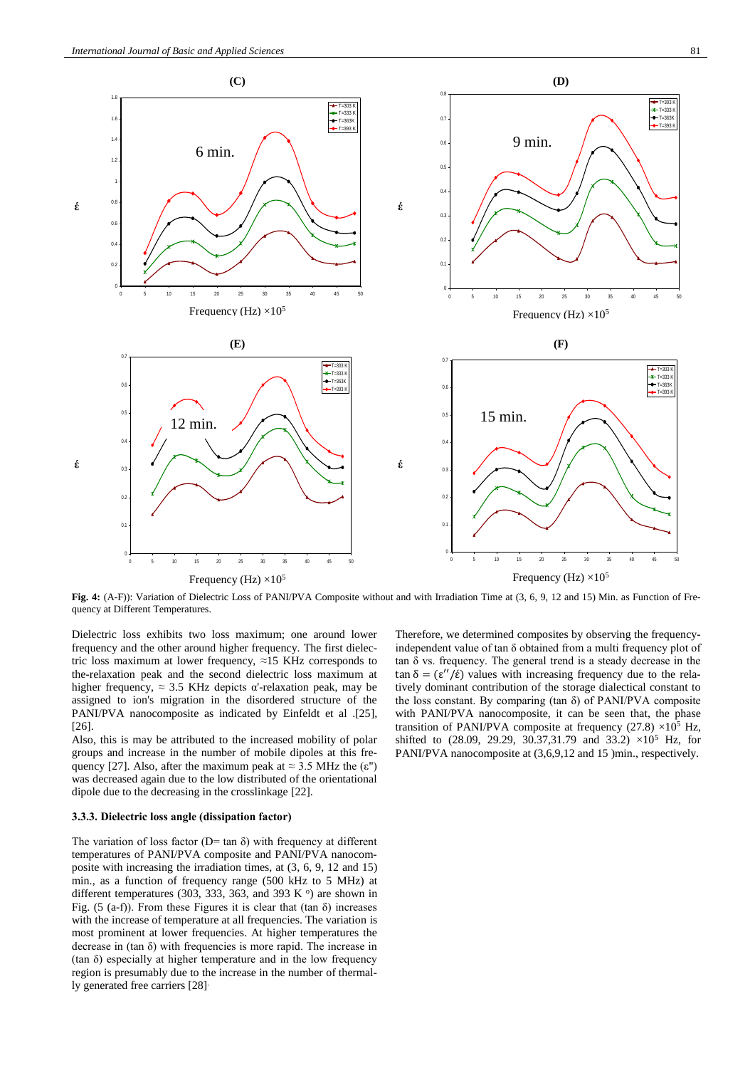



**(C) (D)**

**Fig. 4:** (A-F)): Variation of Dielectric Loss of PANI/PVA Composite without and with Irradiation Time at (3, 6, 9, 12 and 15) Min. as Function of Frequency at Different Temperatures.

Dielectric loss exhibits two loss maximum; one around lower frequency and the other around higher frequency. The first dielectric loss maximum at lower frequency, ≈15 KHz corresponds to the-relaxation peak and the second dielectric loss maximum at higher frequency,  $\approx 3.5$  KHz depicts α'-relaxation peak, may be assigned to ion's migration in the disordered structure of the PANI/PVA nanocomposite as indicated by Einfeldt et al .[25], [26].

Also, this is may be attributed to the increased mobility of polar groups and increase in the number of mobile dipoles at this frequency [27]. Also, after the maximum peak at  $\approx 3.5$  MHz the ( $\varepsilon$ ") was decreased again due to the low distributed of the orientational dipole due to the decreasing in the crosslinkage [22].

#### **3.3.3. Dielectric loss angle (dissipation factor)**

The variation of loss factor ( $D$ = tan  $\delta$ ) with frequency at different temperatures of PANI/PVA composite and PANI/PVA nanocomposite with increasing the irradiation times, at (3, 6, 9, 12 and 15) min., as a function of frequency range (500 kHz to 5 MHz) at different temperatures (303, 333, 363, and 393 K $\degree$ ) are shown in Fig. (5 (a-f)). From these Figures it is clear that (tan  $\delta$ ) increases with the increase of temperature at all frequencies. The variation is most prominent at lower frequencies. At higher temperatures the decrease in  $(\tan \delta)$  with frequencies is more rapid. The increase in (tan δ) especially at higher temperature and in the low frequency region is presumably due to the increase in the number of thermally generated free carriers [28].

Therefore, we determined composites by observing the frequencyindependent value of tan δ obtained from a multi frequency plot of tan δ vs. frequency. The general trend is a steady decrease in the tan  $\delta = (\varepsilon''/\varepsilon)$  values with increasing frequency due to the relatively dominant contribution of the storage dialectical constant to the loss constant. By comparing (tan δ) of PANI/PVA composite with PANI/PVA nanocomposite, it can be seen that, the phase transition of PANI/PVA composite at frequency  $(27.8) \times 10^5$  Hz, shifted to  $(28.09, 29.29, 30.37, 31.79, 30.33.2) \times 10^5$  Hz, for PANI/PVA nanocomposite at  $(3,6,9,12$  and 15 )min., respectively.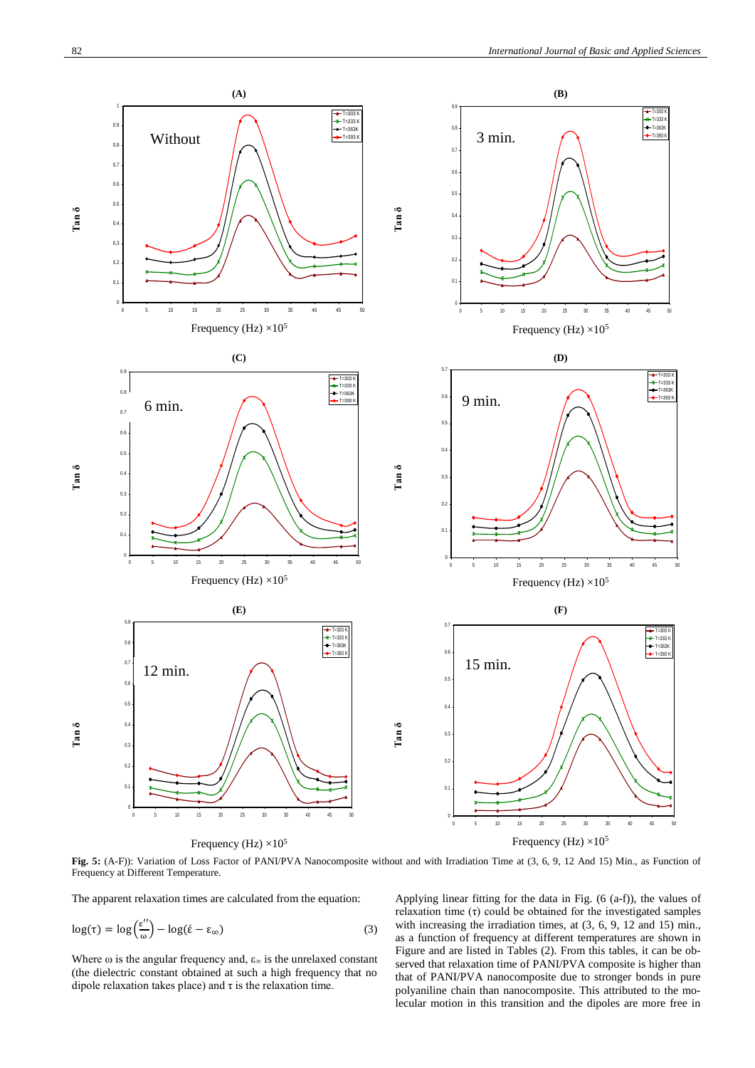

Fig. 5: (A-F)): Variation of Loss Factor of PANI/PVA Nanocomposite without and with Irradiation Time at (3, 6, 9, 12 And 15) Min., as Function of Frequency at Different Temperature.

The apparent relaxation times are calculated from the equation:

$$
\log(\tau) = \log\left(\frac{\epsilon''}{\omega}\right) - \log(\hat{\epsilon} - \epsilon_{\infty})\tag{3}
$$

Where  $\omega$  is the angular frequency and,  $\varepsilon_{\infty}$  is the unrelaxed constant (the dielectric constant obtained at such a high frequency that no dipole relaxation takes place) and  $\tau$  is the relaxation time.

Applying linear fitting for the data in Fig. (6 (a-f)), the values of relaxation time (τ) could be obtained for the investigated samples with increasing the irradiation times, at (3, 6, 9, 12 and 15) min., as a function of frequency at different temperatures are shown in Figure and are listed in Tables (2). From this tables, it can be observed that relaxation time of PANI/PVA composite is higher than that of PANI/PVA nanocomposite due to stronger bonds in pure polyaniline chain than nanocomposite. This attributed to the molecular motion in this transition and the dipoles are more free in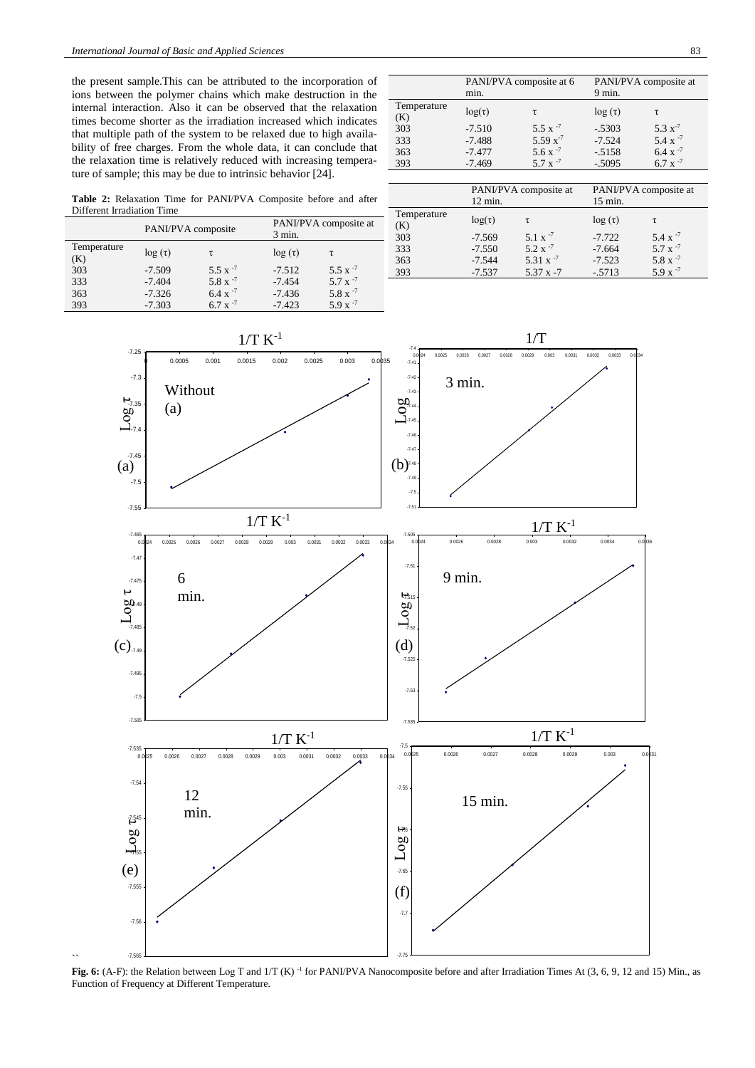$\ddot{\phantom{0}}$ 

the present sample.This can be attributed to the incorporation of ions between the polymer chains which make destruction in the internal interaction. Also it can be observed that the relaxation times become shorter as the irradiation increased which indicates that multiple path of the system to be relaxed due to high availability of free charges. From the whole data, it can conclude that the relaxation time is relatively reduced with increasing temperature of sample; this may be due to intrinsic behavior [24].

PANI/PVA composite at 6 min. PANI/PVA composite at 9 min. Temperature<br>(K)  $log(t)$  τ  $log(t)$  τ  $log(t)$  τ 303 333 363 393 -7.510 -7.488 -7.477 -7.469 5.5  $x^{-7}$ 5.59 x-7  $5.6 \times \frac{7}{7}$  $5.7 x$ -.5303 -7.524 -.5158 -.5095 5.3 x-7  $5.4 \times 7$  $6.4 \times \frac{1}{2}$ <br>6.7 x  $-7$  $6.7 x$ 

**Table 2:** Relaxation Time for PANI/PVA Composite before and after Different Irradiation Time

|                    | PANI/PVA composite |                |              | PANI/PVA composite at |  |
|--------------------|--------------------|----------------|--------------|-----------------------|--|
|                    |                    |                | $3$ min.     |                       |  |
| Temperature<br>(K) | $\log(\tau)$       | τ              | $\log(\tau)$ | τ                     |  |
| 303                | $-7.509$           | $5.5 \times 7$ | $-7.512$     | $5.5 \times 7$        |  |
| 333                | $-7.404$           | $5.8 \times 7$ | $-7.454$     | $5.7 \times 7$        |  |
| 363                | $-7.326$           | $6.4 \times 7$ | $-7.436$     | 5.8 x $^{-7}$         |  |
| 393                | $-7.303$           | $6.7 \times 7$ | $-7.423$     | $5.9 x^{-7}$          |  |

|                    | PANI/PVA composite at |                  | PANI/PVA composite at |                |
|--------------------|-----------------------|------------------|-----------------------|----------------|
|                    | $12 \text{ min.}$     |                  | $15$ min.             |                |
| Temperature<br>(K) | $log(\tau)$           | τ                | $\log(\tau)$          | τ              |
| 303                | $-7.569$              | $5.1 \times 7$   | $-7.722$              | $5.4 \times 7$ |
| 333                | $-7.550$              | $5.2 \times 7$   | $-7.664$              | $5.7 \times 7$ |
| 363                | $-7.544$              | 5.31 $x^{-7}$    | $-7.523$              | 5.8 x $^{-7}$  |
| 393                | $-7.537$              | $5.37 \times -7$ | $-.5713$              | $5.9 x^{-7}$   |



**Fig. 6:** (A-F): the Relation between Log T and 1/T (K)<sup>-1</sup> for PANI/PVA Nanocomposite before and after Irradiation Times At (3, 6, 9, 12 and 15) Min., as